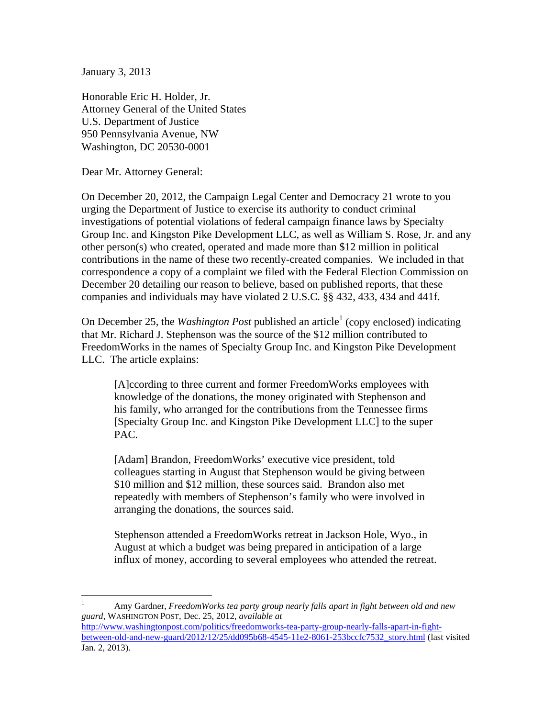January 3, 2013

 $\overline{a}$ 

Honorable Eric H. Holder, Jr. Attorney General of the United States U.S. Department of Justice 950 Pennsylvania Avenue, NW Washington, DC 20530-0001

Dear Mr. Attorney General:

On December 20, 2012, the Campaign Legal Center and Democracy 21 wrote to you urging the Department of Justice to exercise its authority to conduct criminal investigations of potential violations of federal campaign finance laws by Specialty Group Inc. and Kingston Pike Development LLC, as well as William S. Rose, Jr. and any other person(s) who created, operated and made more than \$12 million in political contributions in the name of these two recently-created companies. We included in that correspondence a copy of a complaint we filed with the Federal Election Commission on December 20 detailing our reason to believe, based on published reports, that these companies and individuals may have violated 2 U.S.C. §§ 432, 433, 434 and 441f.

On December 25, the *Washington Post* published an article<sup>1</sup> (copy enclosed) indicating that Mr. Richard J. Stephenson was the source of the \$12 million contributed to FreedomWorks in the names of Specialty Group Inc. and Kingston Pike Development LLC. The article explains:

[A]ccording to three current and former FreedomWorks employees with knowledge of the donations, the money originated with Stephenson and his family, who arranged for the contributions from the Tennessee firms [Specialty Group Inc. and Kingston Pike Development LLC] to the super PAC.

[Adam] Brandon, FreedomWorks' executive vice president, told colleagues starting in August that Stephenson would be giving between \$10 million and \$12 million, these sources said. Brandon also met repeatedly with members of Stephenson's family who were involved in arranging the donations, the sources said.

Stephenson attended a FreedomWorks retreat in Jackson Hole, Wyo., in August at which a budget was being prepared in anticipation of a large influx of money, according to several employees who attended the retreat.

<sup>1</sup> Amy Gardner, *FreedomWorks tea party group nearly falls apart in fight between old and new guard*, WASHINGTON POST, Dec. 25, 2012, *available at* http://www.washingtonpost.com/politics/freedomworks-tea-party-group-nearly-falls-apart-in-fightbetween-old-and-new-guard/2012/12/25/dd095b68-4545-11e2-8061-253bccfc7532\_story.html (last visited Jan. 2, 2013).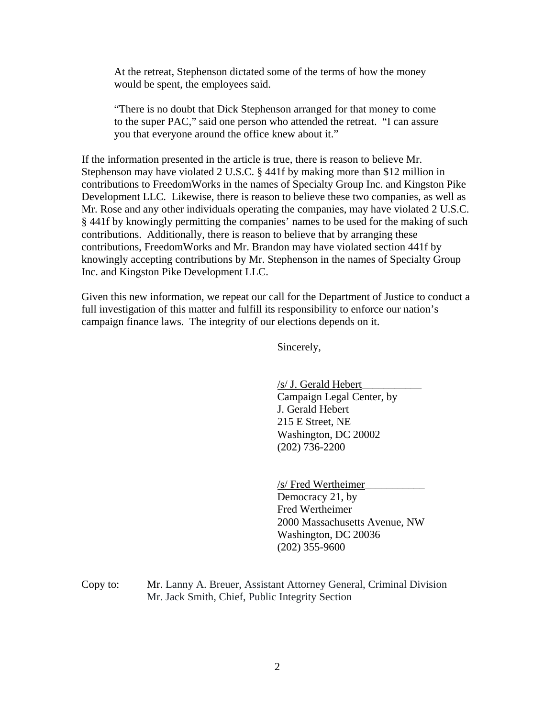At the retreat, Stephenson dictated some of the terms of how the money would be spent, the employees said.

"There is no doubt that Dick Stephenson arranged for that money to come to the super PAC," said one person who attended the retreat. "I can assure you that everyone around the office knew about it."

If the information presented in the article is true, there is reason to believe Mr. Stephenson may have violated 2 U.S.C. § 441f by making more than \$12 million in contributions to FreedomWorks in the names of Specialty Group Inc. and Kingston Pike Development LLC. Likewise, there is reason to believe these two companies, as well as Mr. Rose and any other individuals operating the companies, may have violated 2 U.S.C. § 441f by knowingly permitting the companies' names to be used for the making of such contributions. Additionally, there is reason to believe that by arranging these contributions, FreedomWorks and Mr. Brandon may have violated section 441f by knowingly accepting contributions by Mr. Stephenson in the names of Specialty Group Inc. and Kingston Pike Development LLC.

Given this new information, we repeat our call for the Department of Justice to conduct a full investigation of this matter and fulfill its responsibility to enforce our nation's campaign finance laws. The integrity of our elections depends on it.

Sincerely,

/s/ J. Gerald Hebert\_\_\_\_\_\_\_\_\_\_\_ Campaign Legal Center, by J. Gerald Hebert 215 E Street, NE Washington, DC 20002 (202) 736-2200

/s/ Fred Wertheimer\_\_\_\_\_\_\_\_\_\_\_ Democracy 21, by Fred Wertheimer 2000 Massachusetts Avenue, NW Washington, DC 20036 (202) 355-9600

Copy to: Mr. Lanny A. Breuer, Assistant Attorney General, Criminal Division Mr. Jack Smith, Chief, Public Integrity Section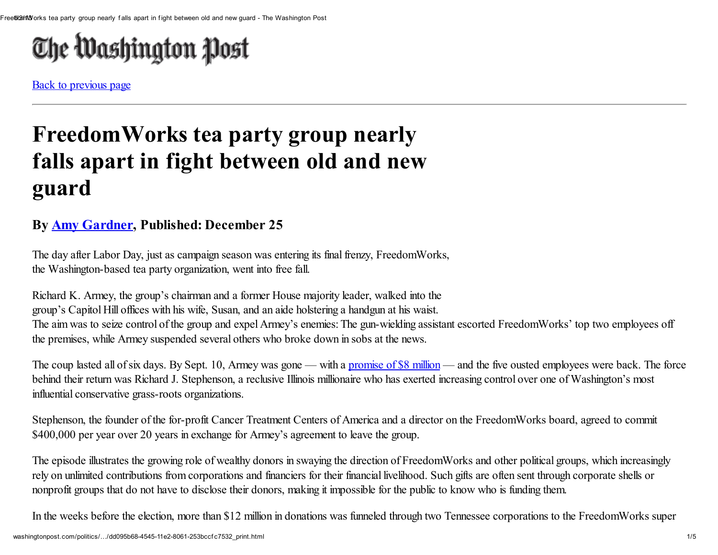# The Washington Post

Back to [previous](javascript: history.go(-1)) page

# FreedomWorks tea party group nearly falls apart in fight between old and new guard

## By Amy [Gardner,](http://www.washingtonpost.com/amy-gardner/2011/02/02/ABlP8AJ_page.html) Published: December 25

The day after Labor Day, just as campaign season was entering its final frenzy, FreedomWorks, the Washington-based tea party organization, went into free fall.

Richard K. Armey, the group's chairman and a former House majority leader, walked into the group's Capitol Hill offices with his wife, Susan, and an aide holstering a handgun at his waist. The aim was to seize control of the group and expel Armey's enemies: The gun-wielding assistant escorted FreedomWorks' top two employees off the premises, while Armey suspended several others who broke down in sobs at the news.

The coup lasted all of six days. By Sept. 10, Armey was gone — with a [promise](http://www.washingtonpost.com/politics/armeys-exit-from-freedomworks-highlights-tea-partys-post-election-turmoil/2012/12/04/b9103b0a-3e29-11e2-bca3-aadc9b7e29c5_story.html) of \$8 million — and the five ousted employees were back. The force behind their return was Richard J. Stephenson, a reclusive Illinois millionaire who has exerted increasing control over one of Washington's most influential conservative grass-roots organizations.

Stephenson, the founder of the for-profit Cancer Treatment Centers of America and a director on the FreedomWorks board, agreed to commit \$400,000 per year over 20 years in exchange for Armey's agreement to leave the group.

The episode illustrates the growing role of wealthy donors in swaying the direction of FreedomWorks and other political groups, which increasingly rely on unlimited contributions from corporations and financiers for their financial livelihood. Such gifts are often sent through corporate shells or nonprofit groups that do not have to disclose their donors, making it impossible for the public to know who is funding them.

In the weeks before the election, more than \$12 million in donations was funneled through two Tennessee corporations to the FreedomWorks super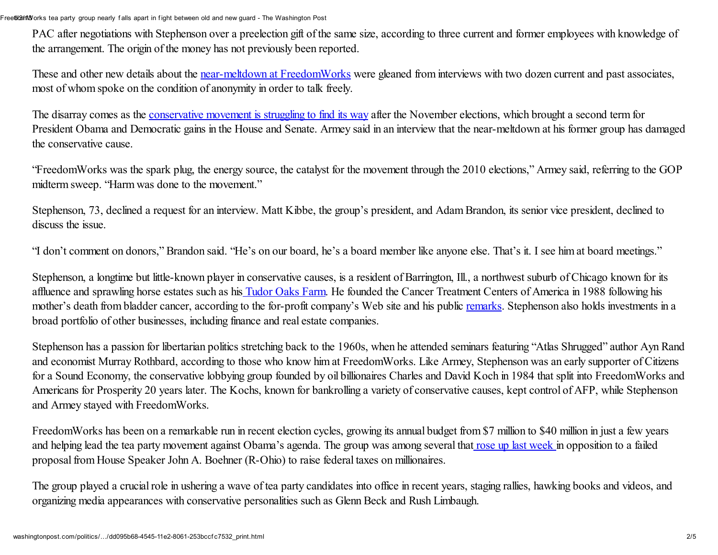PAC after negotiations with Stephenson over a preelection gift of the same size, according to three current and former employees with knowledge of the arrangement. The origin of the money has not previously been reported.

These and other new details about the near-meltdown at [FreedomWorks](http://articles.washingtonpost.com/2012-12-04/politics/35625085_1_grass-roots-conservative-movement-freedomworks-jamie-radtke) were gleaned from interviews with two dozen current and past associates, most of whom spoke on the condition of anonymity in order to talk freely.

The disarray comes as the [conservative](http://www.washingtonpost.com/politics/as-republicans-ponder-2012-defeat-partys-philosophy-hangs-in-the-balance/2012/12/15/ca030ab4-449b-11e2-8e70-e1993528222d_story.html?hpid=z4) movement is struggling to find its way after the November elections, which brought a second term for President Obama and Democratic gains in the House and Senate. Armey said in an interview that the near-meltdown at his former group has damaged the conservative cause.

"FreedomWorks was the spark plug, the energy source, the catalyst for the movement through the 2010 elections," Armey said, referring to the GOP midterm sweep. "Harm was done to the movement."

Stephenson, 73, declined a request for an interview. Matt Kibbe, the group's president, and Adam Brandon, its senior vice president, declined to discuss the issue.

"I don't comment on donors," Brandon said. "He's on our board, he's a board member like anyone else. That's it. I see him at board meetings."

Stephenson, a longtime but little-known player in conservative causes, is a resident of Barrington, Ill., a northwest suburb of Chicago known for its affluence and sprawling horse estates such as his [Tudor](http://www.tudoroaksfarm.com/home.html) Oaks Farm. He founded the Cancer Treatment Centers of America in 1988 following his mother's death from bladder cancer, according to the for-profit company's Web site and his public [remarks](http://www.cancercenter.com/video/about-ctca/ctca-leadership/richard-j-stephenson). Stephenson also holds investments in a broad portfolio of other businesses, including finance and real estate companies.

Stephenson has a passion for libertarian politics stretching back to the 1960s, when he attended seminars featuring "Atlas Shrugged" author Ayn Rand and economist Murray Rothbard, according to those who know him at FreedomWorks. Like Armey, Stephenson was an early supporter of Citizens for a Sound Economy, the conservative lobbying group founded by oil billionaires Charles and David Koch in 1984 that split into FreedomWorks and Americans for Prosperity 20 years later. The Kochs, known for bankrolling a variety of conservative causes, kept control of AFP, while Stephenson and Armey stayed with FreedomWorks.

FreedomWorks has been on a remarkable run in recent election cycles, growing its annual budget from \$7 million to \$40 million in just a few years and helping lead the tea party movement against Obama's agenda. The group was among several that rose up last [week](http://www.washingtonpost.com/blogs/post-politics/wp/2012/12/20/freedomworks-changes-its-mind-hates-plan-b/) in opposition to a failed proposal from House Speaker John A. Boehner (R-Ohio) to raise federal taxes on millionaires.

The group played a crucial role in ushering a wave of tea party candidates into office in recent years, staging rallies, hawking books and videos, and organizing media appearances with conservative personalities such as Glenn Beck and Rush Limbaugh.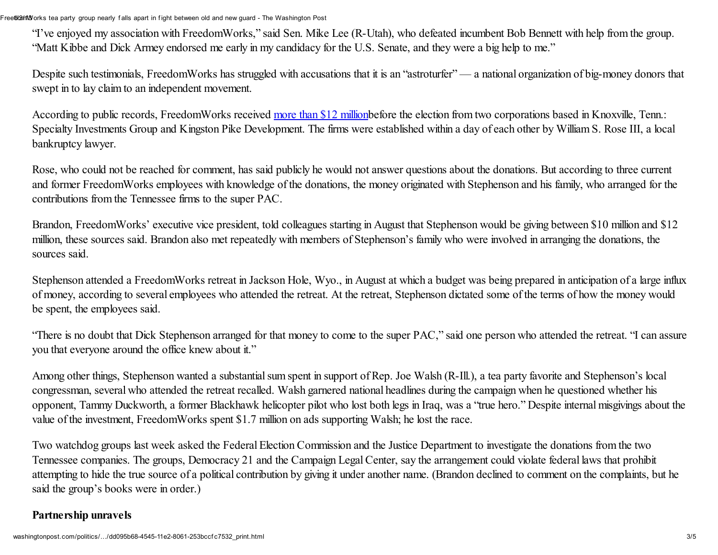"I've enjoyed my association with FreedomWorks," said Sen. Mike Lee (R-Utah), who defeated incumbent Bob Bennett with help from the group. "Matt Kibbe and Dick Armey endorsed me early in my candidacy for the U.S. Senate, and they were a big help to me."

Despite such testimonials, FreedomWorks has struggled with accusations that it is an "astroturfer" — a national organization of big-money donors that swept in to lay claim to an independent movement.

According to public records, FreedomWorks received more than \$12 [million](http://www.opensecrets.org/outsidespending/contrib_all.php?cmte=C00499020&type=A&cycle=2012)before the election from two corporations based in Knoxville, Tenn.: Specialty Investments Group and Kingston Pike Development. The firms were established within a day of each other by William S. Rose III, a local bankruptcy lawyer.

Rose, who could not be reached for comment, has said publicly he would not answer questions about the donations. But according to three current and former FreedomWorks employees with knowledge of the donations, the money originated with Stephenson and his family, who arranged for the contributions from the Tennessee firms to the super PAC.

Brandon, FreedomWorks' executive vice president, told colleagues starting in August that Stephenson would be giving between \$10 million and \$12 million, these sources said. Brandon also met repeatedly with members of Stephenson's family who were involved in arranging the donations, the sources said.

Stephenson attended a FreedomWorks retreat in Jackson Hole, Wyo., in August at which a budget was being prepared in anticipation of a large influx of money, according to several employees who attended the retreat. At the retreat, Stephenson dictated some of the terms of how the money would be spent, the employees said.

"There is no doubt that Dick Stephenson arranged for that money to come to the super PAC," said one person who attended the retreat. "I can assure you that everyone around the office knew about it."

Among other things, Stephenson wanted a substantial sum spent in support of Rep. Joe Walsh (R-Ill.), a tea party favorite and Stephenson's local congressman, several who attended the retreat recalled. Walsh garnered national headlines during the campaign when he questioned whether his opponent, Tammy Duckworth, a former Blackhawk helicopter pilot who lost both legs in Iraq, was a "true hero." Despite internal misgivings about the value of the investment, FreedomWorks spent \$1.7 million on ads supporting Walsh; he lost the race.

Two watchdog groups last week asked the Federal Election Commission and the Justice Department to investigate the donations from the two Tennessee companies. The groups, Democracy 21 and the Campaign Legal Center, say the arrangement could violate federal laws that prohibit attempting to hide the true source of a political contribution by giving it under another name. (Brandon declined to comment on the complaints, but he said the group's books were in order.)

### Partnership unravels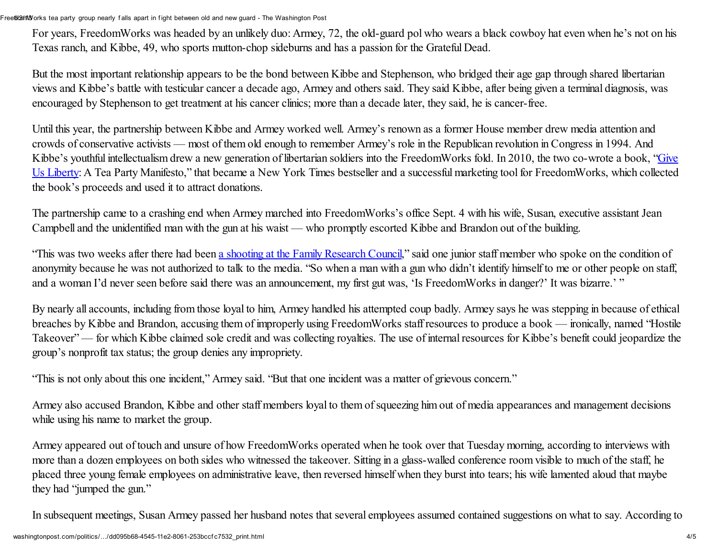For years, FreedomWorks was headed by an unlikely duo: Armey, 72, the old-guard pol who wears a black cowboy hat even when he's not on his Texas ranch, and Kibbe, 49, who sports mutton-chop sideburns and has a passion for the Grateful Dead.

But the most important relationship appears to be the bond between Kibbe and Stephenson, who bridged their age gap through shared libertarian views and Kibbe's battle with testicular cancer a decade ago, Armey and others said. They said Kibbe, after being given a terminal diagnosis, was encouraged by Stephenson to get treatment at his cancer clinics; more than a decade later, they said, he is cancer-free.

Until this year, the partnership between Kibbe and Armey worked well. Armey's renown as a former House member drew media attention and crowds of conservative activists — most of them old enough to remember Armey's role in the Republican revolution in Congress in 1994. And Kibbe's youthful intellectualism drew a new generation of libertarian soldiers into the FreedomWorks fold. In 2010, the two co-wrote a book, "Give Us Liberty: A Tea Party Manifesto," that became a New York Times bestseller and a successful marketing toolfor [FreedomWorks,](http://www.amazon.com/gp/product/B005SN0JZA/ref=as_li_qf_sp_asin_tl?ie=UTF8&tag=washingtonpost-20&linkCode=as2&camp=1789&creative=9325&creativeASIN=B005SN0JZA) which collected the book's proceeds and used it to attract donations.

The partnership came to a crashing end when Armey marched into FreedomWorks's office Sept. 4 with his wife, Susan, executive assistant Jean Campbell and the unidentified man with the gun at his waist — who promptly escorted Kibbe and Brandon out of the building.

"This was two weeks after there had been a shooting at the Family [Research](http://www.washingtonpost.com/blogs/crime-scene/post/suspect-in-shooting-at-family-research-council-indicted-on-terrorism-charge/2012/10/24/ab195792-1e09-11e2-b647-bb1668e64058_blog.html) Council," said one junior staff member who spoke on the condition of anonymity because he was not authorized to talk to the media. "So when a man with a gun who didn't identify himself to me or other people on staff, and a woman I'd never seen before said there was an announcement, my first gut was, 'Is FreedomWorks in danger?' It was bizarre.' "

By nearly all accounts, including from those loyal to him, Armey handled his attempted coup badly. Armey says he was stepping in because of ethical breaches by Kibbe and Brandon, accusing them of improperly using FreedomWorks staff resources to produce a book — ironically, named "Hostile Takeover" — for which Kibbe claimed sole credit and was collecting royalties. The use of internal resources for Kibbe's benefit could jeopardize the group's nonprofit tax status; the group denies any impropriety.

"This is not only about this one incident," Armey said. "But that one incident was a matter of grievous concern."

Armey also accused Brandon, Kibbe and other staff members loyal to them of squeezing him out of media appearances and management decisions while using his name to market the group.

Armey appeared out of touch and unsure of how FreedomWorks operated when he took over that Tuesday morning, according to interviews with more than a dozen employees on both sides who witnessed the takeover. Sitting in a glass-walled conference room visible to much of the staff, he placed three young female employees on administrative leave, then reversed himself when they burst into tears; his wife lamented aloud that maybe they had "jumped the gun."

In subsequent meetings, Susan Armey passed her husband notes that several employees assumed contained suggestions on what to say. According to